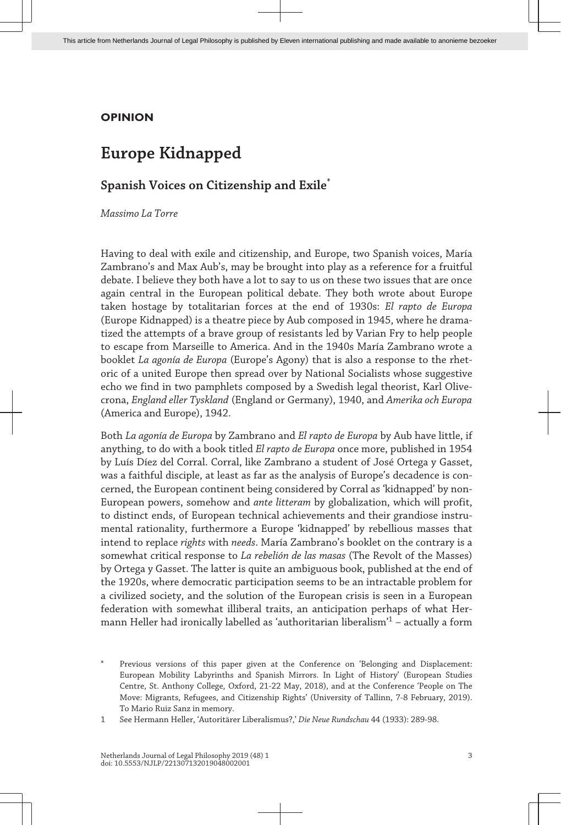### **OPINION**

# **Europe Kidnapped**

## **Spanish Voices on Citizenship and Exile\***

*Massimo La Torre*

Having to deal with exile and citizenship, and Europe, two Spanish voices, María Zambrano's and Max Aub's, may be brought into play as a reference for a fruitful debate. I believe they both have a lot to say to us on these two issues that are once again central in the European political debate. They both wrote about Europe taken hostage by totalitarian forces at the end of 1930s: *El rapto de Europa* (Europe Kidnapped) is a theatre piece by Aub composed in 1945, where he dramatized the attempts of a brave group of resistants led by Varian Fry to help people to escape from Marseille to America. And in the 1940s María Zambrano wrote a booklet *La agonía de Europa* (Europe's Agony) that is also a response to the rhetoric of a united Europe then spread over by National Socialists whose suggestive echo we find in two pamphlets composed by a Swedish legal theorist, Karl Olivecrona, *England eller Tyskland* (England or Germany), 1940, and *Amerika och Europa* (America and Europe), 1942.

Both *La agonía de Europa* by Zambrano and *El rapto de Europa* by Aub have little, if anything, to do with a book titled *El rapto de Europa* once more, published in 1954 by Luís Díez del Corral. Corral, like Zambrano a student of José Ortega y Gasset, was a faithful disciple, at least as far as the analysis of Europe's decadence is concerned, the European continent being considered by Corral as 'kidnapped' by non-European powers, somehow and *ante litteram* by globalization, which will profit, to distinct ends, of European technical achievements and their grandiose instrumental rationality, furthermore a Europe 'kidnapped' by rebellious masses that intend to replace *rights* with *needs*. María Zambrano's booklet on the contrary is a somewhat critical response to *La rebelión de las masas* (The Revolt of the Masses) by Ortega y Gasset. The latter is quite an ambiguous book, published at the end of the 1920s, where democratic participation seems to be an intractable problem for a civilized society, and the solution of the European crisis is seen in a European federation with somewhat illiberal traits, an anticipation perhaps of what Hermann Heller had ironically labelled as 'authoritarian liberalism' $^1$  – actually a form

Previous versions of this paper given at the Conference on 'Belonging and Displacement: European Mobility Labyrinths and Spanish Mirrors. In Light of History' (European Studies Centre, St. Anthony College, Oxford, 21-22 May, 2018), and at the Conference 'People on The Move: Migrants, Refugees, and Citizenship Rights' (University of Tallinn, 7-8 February, 2019). To Mario Ruiz Sanz in memory.

1 See Hermann Heller, 'Autoritärer Liberalismus?,' *Die Neue Rundschau* 44 (1933): 289-98.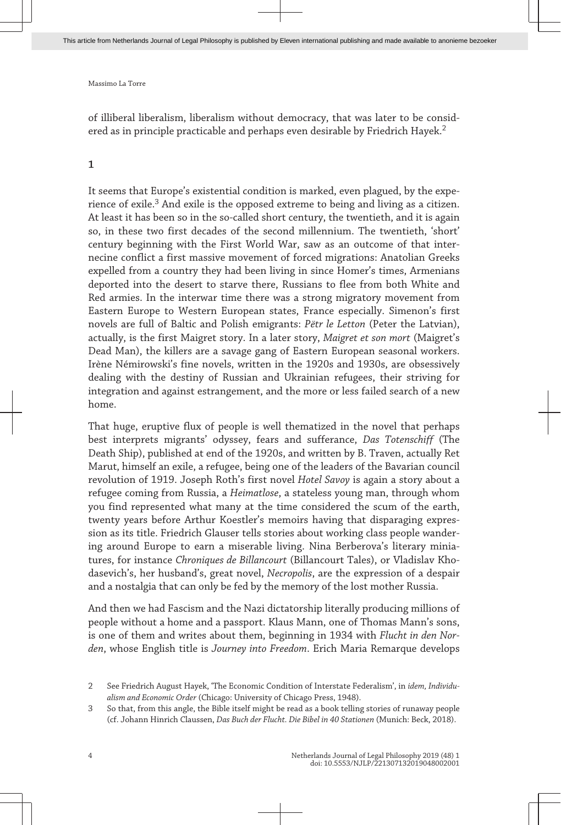of illiberal liberalism, liberalism without democracy, that was later to be considered as in principle practicable and perhaps even desirable by Friedrich Hayek.<sup>2</sup>

#### **1**

It seems that Europe's existential condition is marked, even plagued, by the experience of exile. $^3$  And exile is the opposed extreme to being and living as a citizen. At least it has been so in the so-called short century, the twentieth, and it is again so, in these two first decades of the second millennium. The twentieth, 'short' century beginning with the First World War, saw as an outcome of that internecine conflict a first massive movement of forced migrations: Anatolian Greeks expelled from a country they had been living in since Homer's times, Armenians deported into the desert to starve there, Russians to flee from both White and Red armies. In the interwar time there was a strong migratory movement from Eastern Europe to Western European states, France especially. Simenon's first novels are full of Baltic and Polish emigrants: *Pëtr le Letton* (Peter the Latvian), actually, is the first Maigret story. In a later story, *Maigret et son mort* (Maigret's Dead Man), the killers are a savage gang of Eastern European seasonal workers. Irène Némirowski's fine novels, written in the 1920s and 1930s, are obsessively dealing with the destiny of Russian and Ukrainian refugees, their striving for integration and against estrangement, and the more or less failed search of a new home.

That huge, eruptive flux of people is well thematized in the novel that perhaps best interprets migrants' odyssey, fears and sufferance, *Das Totenschiff* (The Death Ship), published at end of the 1920s, and written by B. Traven, actually Ret Marut, himself an exile, a refugee, being one of the leaders of the Bavarian council revolution of 1919. Joseph Roth's first novel *Hotel Savoy* is again a story about a refugee coming from Russia, a *Heimatlose*, a stateless young man, through whom you find represented what many at the time considered the scum of the earth, twenty years before Arthur Koestler's memoirs having that disparaging expression as its title. Friedrich Glauser tells stories about working class people wandering around Europe to earn a miserable living. Nina Berberova's literary miniatures, for instance *Chroniques de Billancourt* (Billancourt Tales), or Vladislav Khodasevich's, her husband's, great novel, *Necropolis*, are the expression of a despair and a nostalgia that can only be fed by the memory of the lost mother Russia.

And then we had Fascism and the Nazi dictatorship literally producing millions of people without a home and a passport. Klaus Mann, one of Thomas Mann's sons, is one of them and writes about them, beginning in 1934 with *Flucht in den Norden*, whose English title is *Journey into Freedom*. Erich Maria Remarque develops

<sup>2</sup> See Friedrich August Hayek, 'The Economic Condition of Interstate Federalism', in *idem, Individualism and Economic Order* (Chicago: University of Chicago Press, 1948).

<sup>3</sup> So that, from this angle, the Bible itself might be read as a book telling stories of runaway people (cf. Johann Hinrich Claussen, *Das Buch der Flucht. Die Bibel in 40 Stationen* (Munich: Beck, 2018).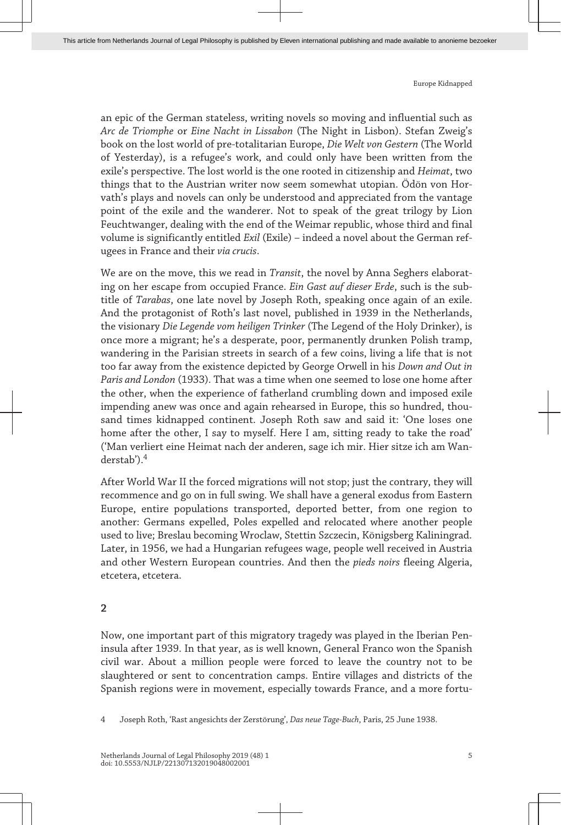an epic of the German stateless, writing novels so moving and influential such as *Arc de Triomphe* or *Eine Nacht in Lissabon* (The Night in Lisbon). Stefan Zweig's book on the lost world of pre-totalitarian Europe, *Die Welt von Gestern* (The World of Yesterday), is a refugee's work, and could only have been written from the exile's perspective. The lost world is the one rooted in citizenship and *Heimat*, two things that to the Austrian writer now seem somewhat utopian. Ödön von Horvath's plays and novels can only be understood and appreciated from the vantage point of the exile and the wanderer. Not to speak of the great trilogy by Lion Feuchtwanger, dealing with the end of the Weimar republic, whose third and final volume is significantly entitled *Exil* (Exile) – indeed a novel about the German refugees in France and their *via crucis*.

We are on the move, this we read in *Transit*, the novel by Anna Seghers elaborating on her escape from occupied France. *Ein Gast auf dieser Erde*, such is the subtitle of *Tarabas*, one late novel by Joseph Roth, speaking once again of an exile. And the protagonist of Roth's last novel, published in 1939 in the Netherlands, the visionary *Die Legende vom heiligen Trinker* (The Legend of the Holy Drinker), is once more a migrant; he's a desperate, poor, permanently drunken Polish tramp, wandering in the Parisian streets in search of a few coins, living a life that is not too far away from the existence depicted by George Orwell in his *Down and Out in Paris and London* (1933). That was a time when one seemed to lose one home after the other, when the experience of fatherland crumbling down and imposed exile impending anew was once and again rehearsed in Europe, this so hundred, thousand times kidnapped continent. Joseph Roth saw and said it: 'One loses one home after the other, I say to myself. Here I am, sitting ready to take the road' ('Man verliert eine Heimat nach der anderen, sage ich mir. Hier sitze ich am Wanderstab').<sup>4</sup>

After World War II the forced migrations will not stop; just the contrary, they will recommence and go on in full swing. We shall have a general exodus from Eastern Europe, entire populations transported, deported better, from one region to another: Germans expelled, Poles expelled and relocated where another people used to live; Breslau becoming Wroclaw, Stettin Szczecin, Königsberg Kaliningrad. Later, in 1956, we had a Hungarian refugees wage, people well received in Austria and other Western European countries. And then the *pieds noirs* fleeing Algeria, etcetera, etcetera.

#### **2**

Now, one important part of this migratory tragedy was played in the Iberian Peninsula after 1939. In that year, as is well known, General Franco won the Spanish civil war. About a million people were forced to leave the country not to be slaughtered or sent to concentration camps. Entire villages and districts of the Spanish regions were in movement, especially towards France, and a more fortu-

<sup>4</sup> Joseph Roth, 'Rast angesichts der Zerstörung', *Das neue Tage-Buch*, Paris, 25 June 1938.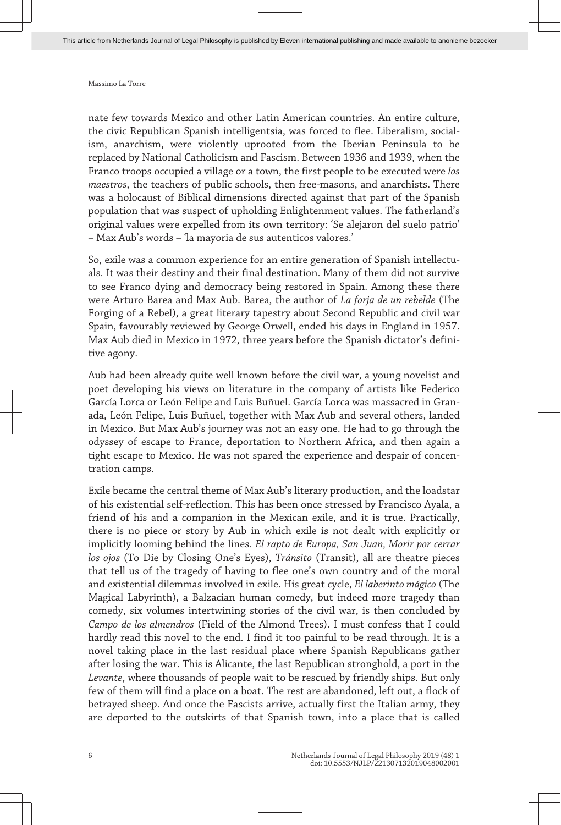nate few towards Mexico and other Latin American countries. An entire culture, the civic Republican Spanish intelligentsia, was forced to flee. Liberalism, socialism, anarchism, were violently uprooted from the Iberian Peninsula to be replaced by National Catholicism and Fascism. Between 1936 and 1939, when the Franco troops occupied a village or a town, the first people to be executed were *los maestros*, the teachers of public schools, then free-masons, and anarchists. There was a holocaust of Biblical dimensions directed against that part of the Spanish population that was suspect of upholding Enlightenment values. The fatherland's original values were expelled from its own territory: 'Se alejaron del suelo patrio' – Max Aub's words – 'la mayoria de sus autenticos valores.'

So, exile was a common experience for an entire generation of Spanish intellectuals. It was their destiny and their final destination. Many of them did not survive to see Franco dying and democracy being restored in Spain. Among these there were Arturo Barea and Max Aub. Barea, the author of *La forja de un rebelde* (The Forging of a Rebel), a great literary tapestry about Second Republic and civil war Spain, favourably reviewed by George Orwell, ended his days in England in 1957. Max Aub died in Mexico in 1972, three years before the Spanish dictator's definitive agony.

Aub had been already quite well known before the civil war, a young novelist and poet developing his views on literature in the company of artists like Federico García Lorca or León Felipe and Luis Buñuel. García Lorca was massacred in Granada, León Felipe, Luis Buñuel, together with Max Aub and several others, landed in Mexico. But Max Aub's journey was not an easy one. He had to go through the odyssey of escape to France, deportation to Northern Africa, and then again a tight escape to Mexico. He was not spared the experience and despair of concentration camps.

Exile became the central theme of Max Aub's literary production, and the loadstar of his existential self-reflection. This has been once stressed by Francisco Ayala, a friend of his and a companion in the Mexican exile, and it is true. Practically, there is no piece or story by Aub in which exile is not dealt with explicitly or implicitly looming behind the lines. *El rapto de Europa, San Juan, Morir por cerrar los ojos* (To Die by Closing One's Eyes), *Tránsito* (Transit), all are theatre pieces that tell us of the tragedy of having to flee one's own country and of the moral and existential dilemmas involved in exile. His great cycle, *El laberinto mágico* (The Magical Labyrinth), a Balzacian human comedy, but indeed more tragedy than comedy, six volumes intertwining stories of the civil war, is then concluded by *Campo de los almendros* (Field of the Almond Trees). I must confess that I could hardly read this novel to the end. I find it too painful to be read through. It is a novel taking place in the last residual place where Spanish Republicans gather after losing the war. This is Alicante, the last Republican stronghold, a port in the *Levante*, where thousands of people wait to be rescued by friendly ships. But only few of them will find a place on a boat. The rest are abandoned, left out, a flock of betrayed sheep. And once the Fascists arrive, actually first the Italian army, they are deported to the outskirts of that Spanish town, into a place that is called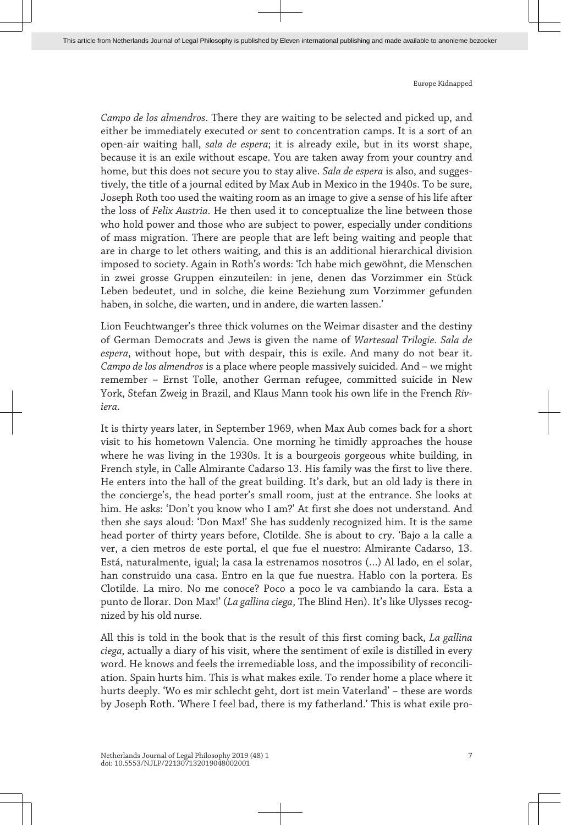*Campo de los almendros*. There they are waiting to be selected and picked up, and either be immediately executed or sent to concentration camps. It is a sort of an open-air waiting hall, *sala de espera*; it is already exile, but in its worst shape, because it is an exile without escape. You are taken away from your country and home, but this does not secure you to stay alive. *Sala de espera* is also, and suggestively, the title of a journal edited by Max Aub in Mexico in the 1940s. To be sure, Joseph Roth too used the waiting room as an image to give a sense of his life after the loss of *Felix Austria*. He then used it to conceptualize the line between those who hold power and those who are subject to power, especially under conditions of mass migration. There are people that are left being waiting and people that are in charge to let others waiting, and this is an additional hierarchical division imposed to society. Again in Roth's words: 'Ich habe mich gewöhnt, die Menschen in zwei grosse Gruppen einzuteilen: in jene, denen das Vorzimmer ein Stück Leben bedeutet, und in solche, die keine Beziehung zum Vorzimmer gefunden haben, in solche, die warten, und in andere, die warten lassen.'

Lion Feuchtwanger's three thick volumes on the Weimar disaster and the destiny of German Democrats and Jews is given the name of *Wartesaal Trilogie. Sala de espera*, without hope, but with despair, this is exile. And many do not bear it. *Campo de los almendros* is a place where people massively suicided. And – we might remember – Ernst Tolle, another German refugee, committed suicide in New York, Stefan Zweig in Brazil, and Klaus Mann took his own life in the French *Riviera*.

It is thirty years later, in September 1969, when Max Aub comes back for a short visit to his hometown Valencia. One morning he timidly approaches the house where he was living in the 1930s. It is a bourgeois gorgeous white building, in French style, in Calle Almirante Cadarso 13. His family was the first to live there. He enters into the hall of the great building. It's dark, but an old lady is there in the concierge's, the head porter's small room, just at the entrance. She looks at him. He asks: 'Don't you know who I am?' At first she does not understand. And then she says aloud: 'Don Max!' She has suddenly recognized him. It is the same head porter of thirty years before, Clotilde. She is about to cry. 'Bajo a la calle a ver, a cien metros de este portal, el que fue el nuestro: Almirante Cadarso, 13. Está, naturalmente, igual; la casa la estrenamos nosotros (…) Al lado, en el solar, han construido una casa. Entro en la que fue nuestra. Hablo con la portera. Es Clotilde. La miro. No me conoce? Poco a poco le va cambiando la cara. Esta a punto de llorar. Don Max!' (*La gallina ciega*, The Blind Hen). It's like Ulysses recognized by his old nurse.

All this is told in the book that is the result of this first coming back, *La gallina ciega*, actually a diary of his visit, where the sentiment of exile is distilled in every word. He knows and feels the irremediable loss, and the impossibility of reconciliation. Spain hurts him. This is what makes exile. To render home a place where it hurts deeply. 'Wo es mir schlecht geht, dort ist mein Vaterland' – these are words by Joseph Roth. 'Where I feel bad, there is my fatherland.' This is what exile pro-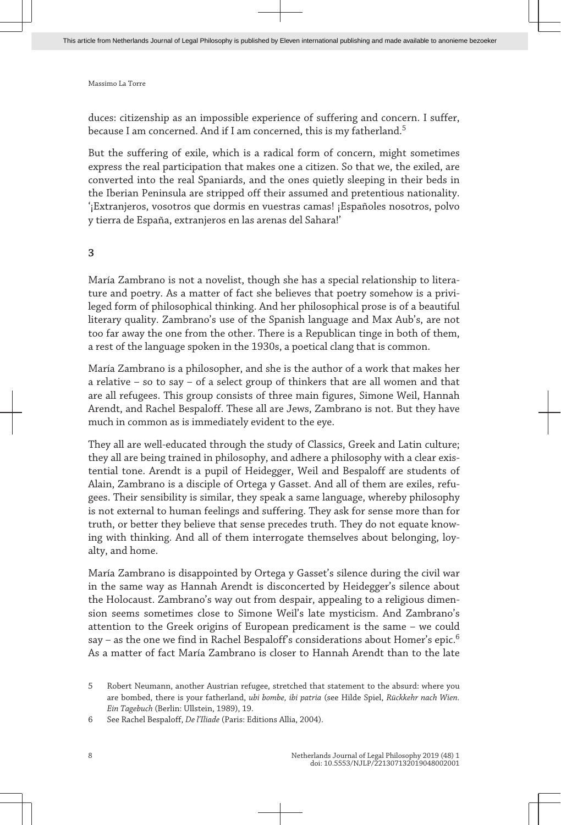duces: citizenship as an impossible experience of suffering and concern. I suffer, because I am concerned. And if I am concerned, this is my fatherland.<sup>5</sup>

But the suffering of exile, which is a radical form of concern, might sometimes express the real participation that makes one a citizen. So that we, the exiled, are converted into the real Spaniards, and the ones quietly sleeping in their beds in the Iberian Peninsula are stripped off their assumed and pretentious nationality. '¡Extranjeros, vosotros que dormis en vuestras camas! ¡Españoles nosotros, polvo y tierra de España, extranjeros en las arenas del Sahara!'

**3**

María Zambrano is not a novelist, though she has a special relationship to literature and poetry. As a matter of fact she believes that poetry somehow is a privileged form of philosophical thinking. And her philosophical prose is of a beautiful literary quality. Zambrano's use of the Spanish language and Max Aub's, are not too far away the one from the other. There is a Republican tinge in both of them, a rest of the language spoken in the 1930s, a poetical clang that is common.

María Zambrano is a philosopher, and she is the author of a work that makes her a relative – so to say – of a select group of thinkers that are all women and that are all refugees. This group consists of three main figures, Simone Weil, Hannah Arendt, and Rachel Bespaloff. These all are Jews, Zambrano is not. But they have much in common as is immediately evident to the eye.

They all are well-educated through the study of Classics, Greek and Latin culture; they all are being trained in philosophy, and adhere a philosophy with a clear existential tone. Arendt is a pupil of Heidegger, Weil and Bespaloff are students of Alain, Zambrano is a disciple of Ortega y Gasset. And all of them are exiles, refugees. Their sensibility is similar, they speak a same language, whereby philosophy is not external to human feelings and suffering. They ask for sense more than for truth, or better they believe that sense precedes truth. They do not equate knowing with thinking. And all of them interrogate themselves about belonging, loyalty, and home.

María Zambrano is disappointed by Ortega y Gasset's silence during the civil war in the same way as Hannah Arendt is disconcerted by Heidegger's silence about the Holocaust. Zambrano's way out from despair, appealing to a religious dimension seems sometimes close to Simone Weil's late mysticism. And Zambrano's attention to the Greek origins of European predicament is the same – we could say – as the one we find in Rachel Bespaloff's considerations about Homer's epic.<sup>6</sup> As a matter of fact María Zambrano is closer to Hannah Arendt than to the late

<sup>5</sup> Robert Neumann, another Austrian refugee, stretched that statement to the absurd: where you are bombed, there is your fatherland, *ubi bombe, ibi patria* (see Hilde Spiel, *Rückkehr nach Wien. Ein Tagebuch* (Berlin: Ullstein, 1989), 19.

<sup>6</sup> See Rachel Bespaloff, *De l'Iliade* (Paris: Editions Allia, 2004).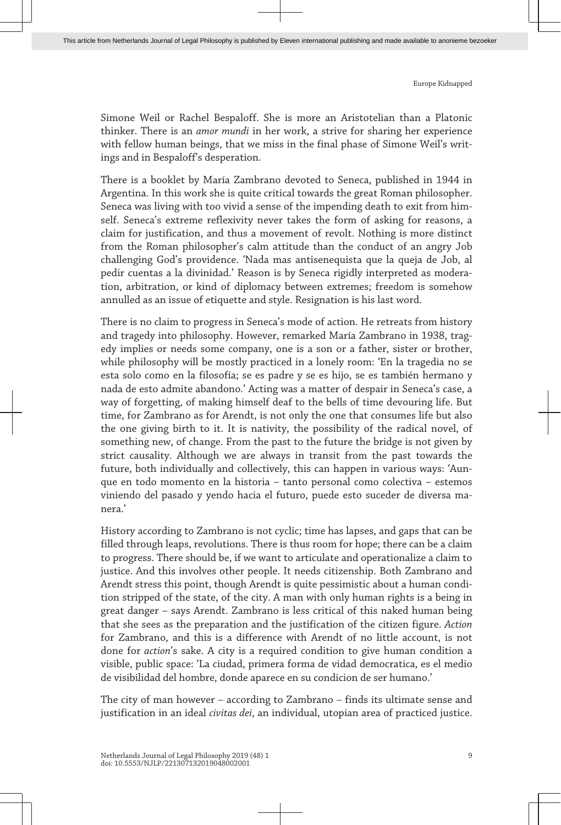Simone Weil or Rachel Bespaloff. She is more an Aristotelian than a Platonic thinker. There is an *amor mundi* in her work, a strive for sharing her experience with fellow human beings, that we miss in the final phase of Simone Weil's writings and in Bespaloff's desperation.

There is a booklet by María Zambrano devoted to Seneca, published in 1944 in Argentina. In this work she is quite critical towards the great Roman philosopher. Seneca was living with too vivid a sense of the impending death to exit from himself. Seneca's extreme reflexivity never takes the form of asking for reasons, a claim for justification, and thus a movement of revolt. Nothing is more distinct from the Roman philosopher's calm attitude than the conduct of an angry Job challenging God's providence. 'Nada mas antisenequista que la queja de Job, al pedir cuentas a la divinidad.' Reason is by Seneca rigidly interpreted as moderation, arbitration, or kind of diplomacy between extremes; freedom is somehow annulled as an issue of etiquette and style. Resignation is his last word.

There is no claim to progress in Seneca's mode of action. He retreats from history and tragedy into philosophy. However, remarked María Zambrano in 1938, tragedy implies or needs some company, one is a son or a father, sister or brother, while philosophy will be mostly practiced in a lonely room: 'En la tragedia no se esta solo como en la filosofía; se es padre y se es hijo, se es también hermano y nada de esto admite abandono.' Acting was a matter of despair in Seneca's case, a way of forgetting, of making himself deaf to the bells of time devouring life. But time, for Zambrano as for Arendt, is not only the one that consumes life but also the one giving birth to it. It is nativity, the possibility of the radical novel, of something new, of change. From the past to the future the bridge is not given by strict causality. Although we are always in transit from the past towards the future, both individually and collectively, this can happen in various ways: 'Aunque en todo momento en la historia – tanto personal como colectiva – estemos viniendo del pasado y yendo hacia el futuro, puede esto suceder de diversa manera.'

History according to Zambrano is not cyclic; time has lapses, and gaps that can be filled through leaps, revolutions. There is thus room for hope; there can be a claim to progress. There should be, if we want to articulate and operationalize a claim to justice. And this involves other people. It needs citizenship. Both Zambrano and Arendt stress this point, though Arendt is quite pessimistic about a human condition stripped of the state, of the city. A man with only human rights is a being in great danger – says Arendt. Zambrano is less critical of this naked human being that she sees as the preparation and the justification of the citizen figure. *Action* for Zambrano, and this is a difference with Arendt of no little account, is not done for *action*'s sake. A city is a required condition to give human condition a visible, public space: 'La ciudad, primera forma de vidad democratica, es el medio de visibilidad del hombre, donde aparece en su condicion de ser humano.'

The city of man however – according to Zambrano – finds its ultimate sense and justification in an ideal *civitas dei*, an individual, utopian area of practiced justice.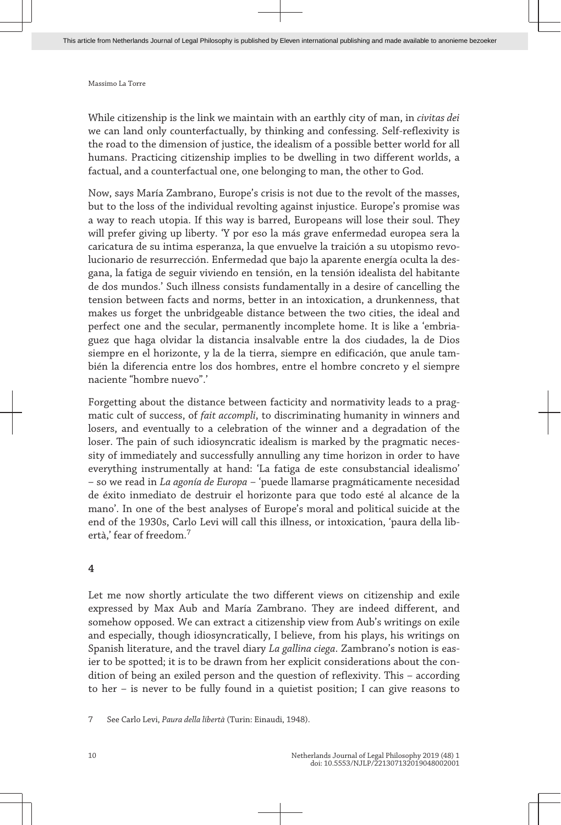While citizenship is the link we maintain with an earthly city of man, in *civitas dei* we can land only counterfactually, by thinking and confessing. Self-reflexivity is the road to the dimension of justice, the idealism of a possible better world for all humans. Practicing citizenship implies to be dwelling in two different worlds, a factual, and a counterfactual one, one belonging to man, the other to God.

Now, says María Zambrano, Europe's crisis is not due to the revolt of the masses, but to the loss of the individual revolting against injustice. Europe's promise was a way to reach utopia. If this way is barred, Europeans will lose their soul. They will prefer giving up liberty. 'Y por eso la más grave enfermedad europea sera la caricatura de su intima esperanza, la que envuelve la traición a su utopismo revolucionario de resurrección. Enfermedad que bajo la aparente energía oculta la desgana, la fatiga de seguir viviendo en tensión, en la tensión idealista del habitante de dos mundos.' Such illness consists fundamentally in a desire of cancelling the tension between facts and norms, better in an intoxication, a drunkenness, that makes us forget the unbridgeable distance between the two cities, the ideal and perfect one and the secular, permanently incomplete home. It is like a 'embriaguez que haga olvidar la distancia insalvable entre la dos ciudades, la de Dios siempre en el horizonte, y la de la tierra, siempre en edificación, que anule también la diferencia entre los dos hombres, entre el hombre concreto y el siempre naciente "hombre nuevo".'

Forgetting about the distance between facticity and normativity leads to a pragmatic cult of success, of *fait accompli*, to discriminating humanity in winners and losers, and eventually to a celebration of the winner and a degradation of the loser. The pain of such idiosyncratic idealism is marked by the pragmatic necessity of immediately and successfully annulling any time horizon in order to have everything instrumentally at hand: 'La fatiga de este consubstancial idealismo' – so we read in *La agonía de Europa* – 'puede llamarse pragmáticamente necesidad de éxito inmediato de destruir el horizonte para que todo esté al alcance de la mano'. In one of the best analyses of Europe's moral and political suicide at the end of the 1930s, Carlo Levi will call this illness, or intoxication, 'paura della libertà,' fear of freedom.<sup>7</sup>

#### **4**

Let me now shortly articulate the two different views on citizenship and exile expressed by Max Aub and María Zambrano. They are indeed different, and somehow opposed. We can extract a citizenship view from Aub's writings on exile and especially, though idiosyncratically, I believe, from his plays, his writings on Spanish literature, and the travel diary *La gallina ciega*. Zambrano's notion is easier to be spotted; it is to be drawn from her explicit considerations about the condition of being an exiled person and the question of reflexivity. This – according to her – is never to be fully found in a quietist position; I can give reasons to

<sup>7</sup> See Carlo Levi, *Paura della libertà* (Turin: Einaudi, 1948).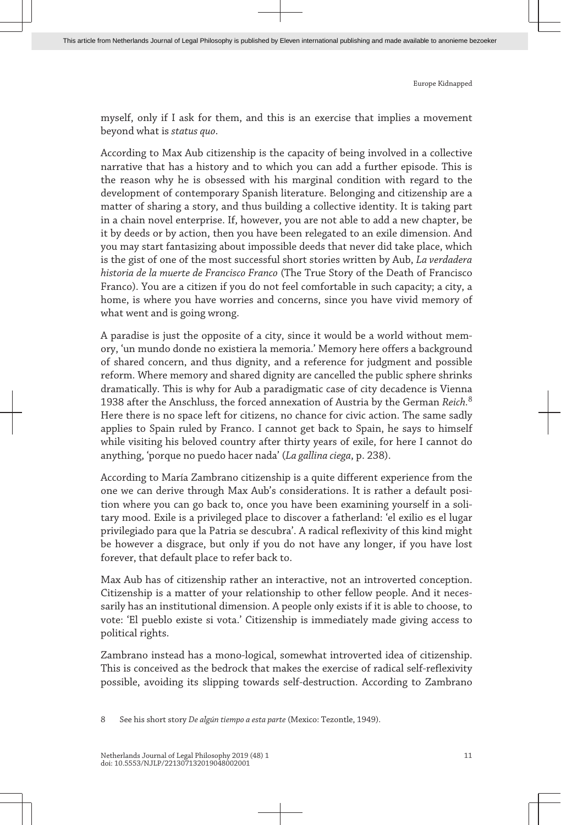myself, only if I ask for them, and this is an exercise that implies a movement beyond what is *status quo*.

According to Max Aub citizenship is the capacity of being involved in a collective narrative that has a history and to which you can add a further episode. This is the reason why he is obsessed with his marginal condition with regard to the development of contemporary Spanish literature. Belonging and citizenship are a matter of sharing a story, and thus building a collective identity. It is taking part in a chain novel enterprise. If, however, you are not able to add a new chapter, be it by deeds or by action, then you have been relegated to an exile dimension. And you may start fantasizing about impossible deeds that never did take place, which is the gist of one of the most successful short stories written by Aub, *La verdadera historia de la muerte de Francisco Franco* (The True Story of the Death of Francisco Franco). You are a citizen if you do not feel comfortable in such capacity; a city, a home, is where you have worries and concerns, since you have vivid memory of what went and is going wrong.

A paradise is just the opposite of a city, since it would be a world without memory, 'un mundo donde no existiera la memoria.' Memory here offers a background of shared concern, and thus dignity, and a reference for judgment and possible reform. Where memory and shared dignity are cancelled the public sphere shrinks dramatically. This is why for Aub a paradigmatic case of city decadence is Vienna 1938 after the Anschluss, the forced annexation of Austria by the German *Reich.*<sup>8</sup> Here there is no space left for citizens, no chance for civic action. The same sadly applies to Spain ruled by Franco. I cannot get back to Spain, he says to himself while visiting his beloved country after thirty years of exile, for here I cannot do anything, 'porque no puedo hacer nada' (*La gallina ciega*, p. 238).

According to María Zambrano citizenship is a quite different experience from the one we can derive through Max Aub's considerations. It is rather a default position where you can go back to, once you have been examining yourself in a solitary mood. Exile is a privileged place to discover a fatherland: 'el exilio es el lugar privilegiado para que la Patria se descubra'. A radical reflexivity of this kind might be however a disgrace, but only if you do not have any longer, if you have lost forever, that default place to refer back to.

Max Aub has of citizenship rather an interactive, not an introverted conception. Citizenship is a matter of your relationship to other fellow people. And it necessarily has an institutional dimension. A people only exists if it is able to choose, to vote: 'El pueblo existe si vota.' Citizenship is immediately made giving access to political rights.

Zambrano instead has a mono-logical, somewhat introverted idea of citizenship. This is conceived as the bedrock that makes the exercise of radical self-reflexivity possible, avoiding its slipping towards self-destruction. According to Zambrano

8 See his short story *De algún tiempo a esta parte* (Mexico: Tezontle, 1949).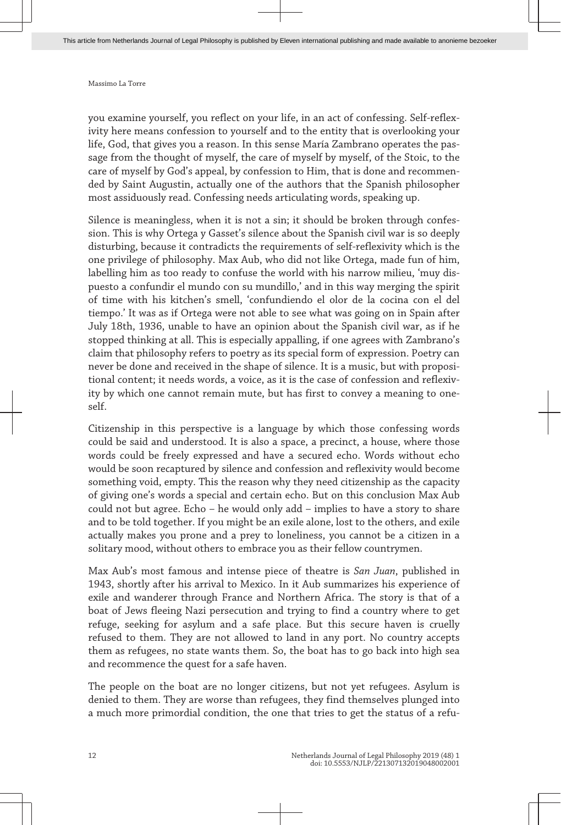you examine yourself, you reflect on your life, in an act of confessing. Self-reflexivity here means confession to yourself and to the entity that is overlooking your life, God, that gives you a reason. In this sense María Zambrano operates the passage from the thought of myself, the care of myself by myself, of the Stoic, to the care of myself by God's appeal, by confession to Him, that is done and recommended by Saint Augustin, actually one of the authors that the Spanish philosopher most assiduously read. Confessing needs articulating words, speaking up.

Silence is meaningless, when it is not a sin; it should be broken through confession. This is why Ortega y Gasset's silence about the Spanish civil war is so deeply disturbing, because it contradicts the requirements of self-reflexivity which is the one privilege of philosophy. Max Aub, who did not like Ortega, made fun of him, labelling him as too ready to confuse the world with his narrow milieu, 'muy dispuesto a confundir el mundo con su mundillo,' and in this way merging the spirit of time with his kitchen's smell, 'confundiendo el olor de la cocina con el del tiempo.' It was as if Ortega were not able to see what was going on in Spain after July 18th, 1936, unable to have an opinion about the Spanish civil war, as if he stopped thinking at all. This is especially appalling, if one agrees with Zambrano's claim that philosophy refers to poetry as its special form of expression. Poetry can never be done and received in the shape of silence. It is a music, but with propositional content; it needs words, a voice, as it is the case of confession and reflexivity by which one cannot remain mute, but has first to convey a meaning to oneself.

Citizenship in this perspective is a language by which those confessing words could be said and understood. It is also a space, a precinct, a house, where those words could be freely expressed and have a secured echo. Words without echo would be soon recaptured by silence and confession and reflexivity would become something void, empty. This the reason why they need citizenship as the capacity of giving one's words a special and certain echo. But on this conclusion Max Aub could not but agree. Echo – he would only add – implies to have a story to share and to be told together. If you might be an exile alone, lost to the others, and exile actually makes you prone and a prey to loneliness, you cannot be a citizen in a solitary mood, without others to embrace you as their fellow countrymen.

Max Aub's most famous and intense piece of theatre is *San Juan*, published in 1943, shortly after his arrival to Mexico. In it Aub summarizes his experience of exile and wanderer through France and Northern Africa. The story is that of a boat of Jews fleeing Nazi persecution and trying to find a country where to get refuge, seeking for asylum and a safe place. But this secure haven is cruelly refused to them. They are not allowed to land in any port. No country accepts them as refugees, no state wants them. So, the boat has to go back into high sea and recommence the quest for a safe haven.

The people on the boat are no longer citizens, but not yet refugees. Asylum is denied to them. They are worse than refugees, they find themselves plunged into a much more primordial condition, the one that tries to get the status of a refu-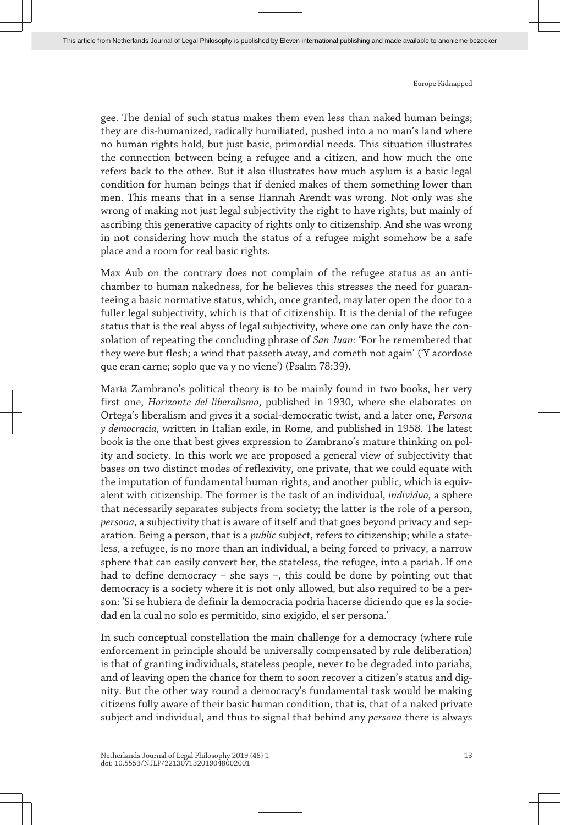gee. The denial of such status makes them even less than naked human beings; they are dis-humanized, radically humiliated, pushed into a no man's land where no human rights hold, but just basic, primordial needs. This situation illustrates the connection between being a refugee and a citizen, and how much the one refers back to the other. But it also illustrates how much asylum is a basic legal condition for human beings that if denied makes of them something lower than men. This means that in a sense Hannah Arendt was wrong. Not only was she wrong of making not just legal subjectivity the right to have rights, but mainly of ascribing this generative capacity of rights only to citizenship. And she was wrong in not considering how much the status of a refugee might somehow be a safe place and a room for real basic rights.

Max Aub on the contrary does not complain of the refugee status as an antichamber to human nakedness, for he believes this stresses the need for guaranteeing a basic normative status, which, once granted, may later open the door to a fuller legal subjectivity, which is that of citizenship. It is the denial of the refugee status that is the real abyss of legal subjectivity, where one can only have the consolation of repeating the concluding phrase of *San Juan:* 'For he remembered that they were but flesh; a wind that passeth away, and cometh not again' ('Y acordose que eran carne; soplo que va y no viene') (Psalm 78:39).

María Zambrano's political theory is to be mainly found in two books, her very first one, *Horizonte del liberalismo*, published in 1930, where she elaborates on Ortega's liberalism and gives it a social-democratic twist, and a later one, *Persona y democracia*, written in Italian exile, in Rome, and published in 1958. The latest book is the one that best gives expression to Zambrano's mature thinking on polity and society. In this work we are proposed a general view of subjectivity that bases on two distinct modes of reflexivity, one private, that we could equate with the imputation of fundamental human rights, and another public, which is equivalent with citizenship. The former is the task of an individual, *individuo*, a sphere that necessarily separates subjects from society; the latter is the role of a person, *persona*, a subjectivity that is aware of itself and that goes beyond privacy and separation. Being a person, that is a *public* subject, refers to citizenship; while a stateless, a refugee, is no more than an individual, a being forced to privacy, a narrow sphere that can easily convert her, the stateless, the refugee, into a pariah. If one had to define democracy – she says –, this could be done by pointing out that democracy is a society where it is not only allowed, but also required to be a person: 'Si se hubiera de definir la democracia podria hacerse diciendo que es la sociedad en la cual no solo es permitido, sino exigido, el ser persona.'

In such conceptual constellation the main challenge for a democracy (where rule enforcement in principle should be universally compensated by rule deliberation) is that of granting individuals, stateless people, never to be degraded into pariahs, and of leaving open the chance for them to soon recover a citizen's status and dignity. But the other way round a democracy's fundamental task would be making citizens fully aware of their basic human condition, that is, that of a naked private subject and individual, and thus to signal that behind any *persona* there is always